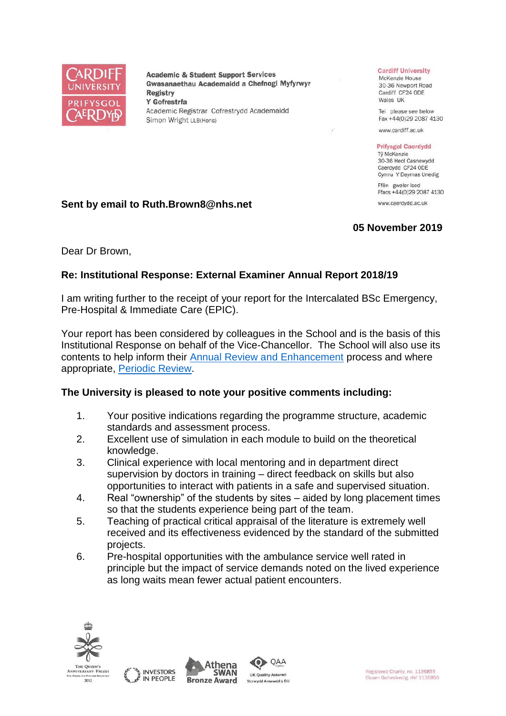

**Academic & Student Support Services** Gwasanaethau Academaidd a Chefnogi Myfyrwyr **Registry** Y Gofrestrfa Academic Registrar Cofrestrydd Academaidd Simon Wright LLB(Hons)

#### **Cardiff University**

McKenzie House 30-36 Newport Road Cardiff CF24 ODE Wales UK

Tel please see below Fax +44(0)29 2087 4130

www.cardiff.ac.uk

#### **Prifysgol Caerdydd**

Tỷ McKenzie 30-36 Heol Casnewydd Caerdydd CF24 ODE Cymru Y Deyrnas Unedig

Ffôn gweler isod Ffacs +44(0)29 2087 4130 www.caerdydd.ac.uk

**05 November 2019**

## **Sent by email to Ruth.Brown8@nhs.net**

### Dear Dr Brown,

# **Re: Institutional Response: External Examiner Annual Report 2018/19**

I am writing further to the receipt of your report for the Intercalated BSc Emergency, Pre-Hospital & Immediate Care (EPIC).

Your report has been considered by colleagues in the School and is the basis of this Institutional Response on behalf of the Vice-Chancellor. The School will also use its contents to help inform their [Annual Review and Enhancement](https://www.cardiff.ac.uk/public-information/quality-and-standards/monitoring-and-review/annual-review-and-enhancement) process and where appropriate, [Periodic Review.](http://www.cardiff.ac.uk/public-information/quality-and-standards/monitoring-and-review/periodic-review)

# **The University is pleased to note your positive comments including:**

- 1. Your positive indications regarding the programme structure, academic standards and assessment process.
- 2. Excellent use of simulation in each module to build on the theoretical knowledge.
- 3. Clinical experience with local mentoring and in department direct supervision by doctors in training – direct feedback on skills but also opportunities to interact with patients in a safe and supervised situation.
- 4. Real "ownership" of the students by sites aided by long placement times so that the students experience being part of the team.
- 5. Teaching of practical critical appraisal of the literature is extremely well received and its effectiveness evidenced by the standard of the submitted projects.
- 6. Pre-hospital opportunities with the ambulance service well rated in principle but the impact of service demands noted on the lived experience as long waits mean fewer actual patient encounters.